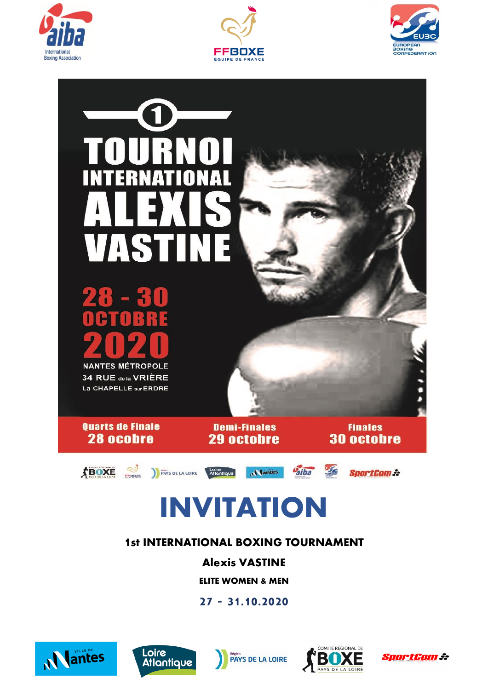







# **INVITATION**

# **1st INTERNATIONAL BOXING TOURNAMENT**

**Alexis VASTINE**

**ELITE WOMEN & MEN**

# **27 - 31.10.2020**









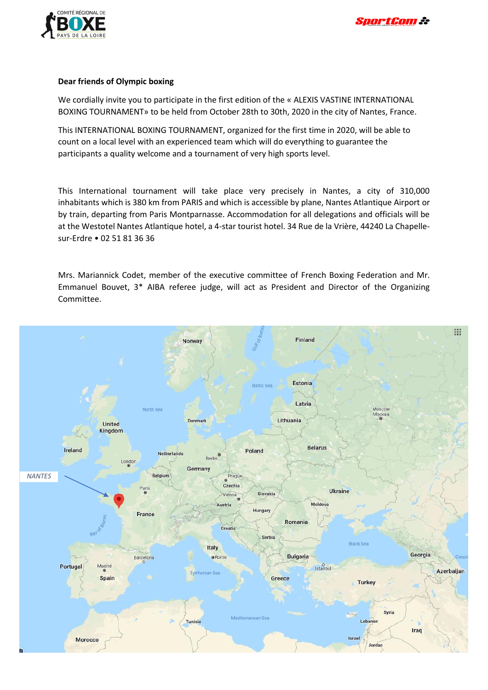

#### **Dear friends of Olympic boxing**

We cordially invite you to participate in the first edition of the « ALEXIS VASTINE INTERNATIONAL BOXING TOURNAMENT» to be held from October 28th to 30th, 2020 in the city of Nantes, France.

This INTERNATIONAL BOXING TOURNAMENT, organized for the first time in 2020, will be able to count on a local level with an experienced team which will do everything to guarantee the participants a quality welcome and a tournament of very high sports level.

This International tournament will take place very precisely in Nantes, a city of 310,000 inhabitants which is 380 km from PARIS and which is accessible by plane, Nantes Atlantique Airport or by train, departing from Paris Montparnasse. Accommodation for all delegations and officials will be at the Westotel Nantes Atlantique hotel, a 4-star tourist hotel. 34 Rue de la Vrière, 44240 La Chapellesur-Erdre • 02 51 81 36 36

Mrs. Mariannick Codet, member of the executive committee of French Boxing Federation and Mr. Emmanuel Bouvet, 3\* AIBA referee judge, will act as President and Director of the Organizing Committee.

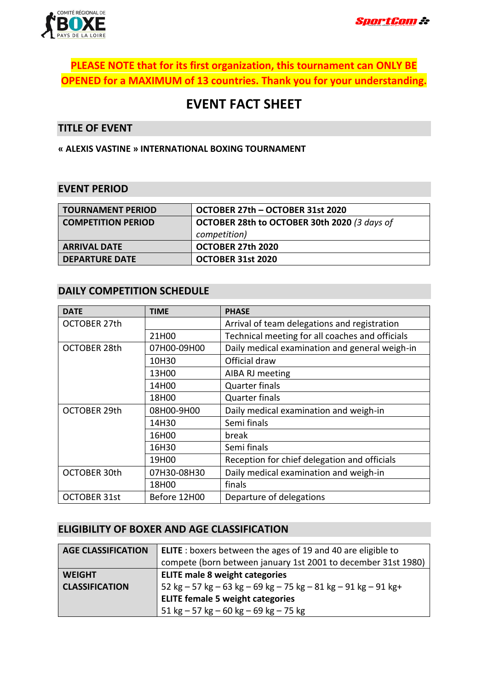

# **PLEASE NOTE that for its first organization, this tournament can ONLY BE OPENED for a MAXIMUM of 13 countries. Thank you for your understanding.**

# **EVENT FACT SHEET**

#### **TITLE OF EVENT**

**« ALEXIS VASTINE » INTERNATIONAL BOXING TOURNAMENT**

#### **EVENT PERIOD**

| <b>TOURNAMENT PERIOD</b>  | OCTOBER 27th - OCTOBER 31st 2020             |
|---------------------------|----------------------------------------------|
| <b>COMPETITION PERIOD</b> | OCTOBER 28th to OCTOBER 30th 2020 (3 days of |
|                           | competition)                                 |
| <b>ARRIVAL DATE</b>       | OCTOBER 27th 2020                            |
| <b>DEPARTURE DATE</b>     | OCTOBER 31st 2020                            |

#### **DAILY COMPETITION SCHEDULE**

| <b>DATE</b>         | <b>TIME</b>                              | <b>PHASE</b>                                    |  |
|---------------------|------------------------------------------|-------------------------------------------------|--|
| <b>OCTOBER 27th</b> |                                          | Arrival of team delegations and registration    |  |
|                     | 21H00                                    | Technical meeting for all coaches and officials |  |
| <b>OCTOBER 28th</b> | 07H00-09H00                              | Daily medical examination and general weigh-in  |  |
|                     | 10H30                                    | Official draw                                   |  |
|                     | 13H00                                    | AIBA RJ meeting                                 |  |
|                     | 14H00                                    | <b>Quarter finals</b>                           |  |
|                     | 18H00                                    | <b>Quarter finals</b>                           |  |
| <b>OCTOBER 29th</b> | 08H00-9H00                               | Daily medical examination and weigh-in          |  |
|                     | 14H30                                    | Semi finals                                     |  |
|                     | 16H00                                    | break                                           |  |
|                     | 16H30                                    | Semi finals                                     |  |
|                     | 19H00                                    | Reception for chief delegation and officials    |  |
| <b>OCTOBER 30th</b> | 07H30-08H30                              | Daily medical examination and weigh-in          |  |
|                     | 18H00                                    | finals                                          |  |
| <b>OCTOBER 31st</b> | Before 12H00<br>Departure of delegations |                                                 |  |

## **ELIGIBILITY OF BOXER AND AGE CLASSIFICATION**

| <b>AGE CLASSIFICATION</b> | <b>ELITE</b> : boxers between the ages of 19 and 40 are eligible to             |
|---------------------------|---------------------------------------------------------------------------------|
|                           | compete (born between january 1st 2001 to december 31st 1980)                   |
| <b>WEIGHT</b>             | <b>ELITE male 8 weight categories</b>                                           |
| <b>CLASSIFICATION</b>     | 52 kg – 57 kg – 63 kg – 69 kg – 75 kg – 81 kg – 91 kg – 91 kg +                 |
|                           | <b>ELITE female 5 weight categories</b>                                         |
|                           | $51 \text{ kg} - 57 \text{ kg} - 60 \text{ kg} - 69 \text{ kg} - 75 \text{ kg}$ |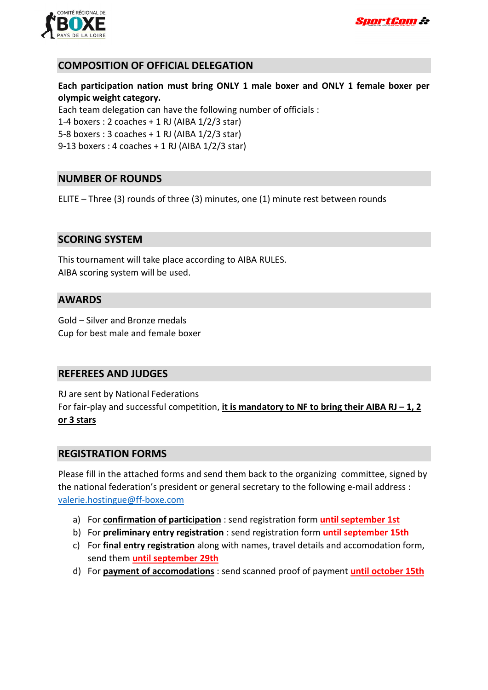



## **COMPOSITION OF OFFICIAL DELEGATION**

**Each participation nation must bring ONLY 1 male boxer and ONLY 1 female boxer per olympic weight category.**

Each team delegation can have the following number of officials :

1-4 boxers : 2 coaches + 1 RJ (AIBA 1/2/3 star)

5-8 boxers : 3 coaches + 1 RJ (AIBA 1/2/3 star)

9-13 boxers : 4 coaches + 1 RJ (AIBA 1/2/3 star)

#### **NUMBER OF ROUNDS**

ELITE – Three (3) rounds of three (3) minutes, one (1) minute rest between rounds

#### **SCORING SYSTEM**

This tournament will take place according to AIBA RULES. AIBA scoring system will be used.

#### **AWARDS**

Gold – Silver and Bronze medals Cup for best male and female boxer

#### **REFEREES AND JUDGES**

RJ are sent by National Federations For fair-play and successful competition, *it is mandatory to NF to bring their AIBA RJ - 1, 2* **or 3 stars**

#### **REGISTRATION FORMS**

Please fill in the attached forms and send them back to the organizing committee, signed by the national federation's president or general secretary to the following e-mail address : [valerie.hostingue@ff-boxe.com](mailto:valerie.hostingue@ff-boxe.com)

- a) For **confirmation of participation** : send registration form **until september 1st**
- b) For **preliminary entry registration** : send registration form **until september 15th**
- c) For **final entry registration** along with names, travel details and accomodation form, send them **until september 29th**
- d) For **payment of accomodations** : send scanned proof of payment **until october 15th**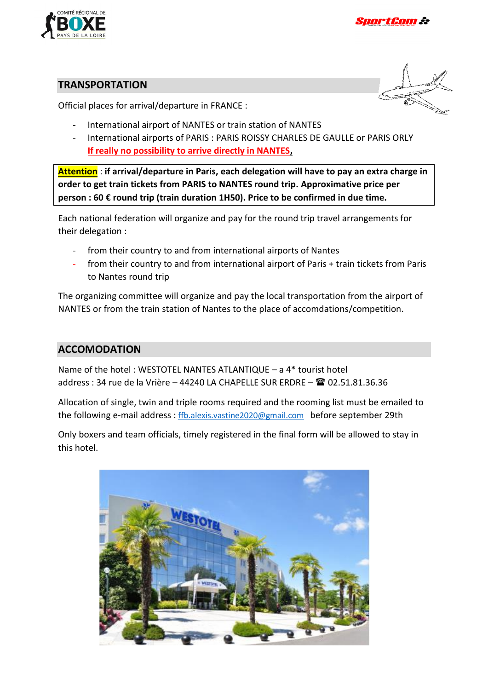

## **TRANSPORTATION**

Official places for arrival/departure in FRANCE :

- 
- International airport of NANTES or train station of NANTES
- International airports of PARIS : PARIS ROISSY CHARLES DE GAULLE or PARIS ORLY **If really no possibility to arrive directly in NANTES,**

**Attention** : **if arrival/departure in Paris, each delegation will have to pay an extra charge in order to get train tickets from PARIS to NANTES round trip. Approximative price per person : 60 € round trip (train duration 1H50). Price to be confirmed in due time.**

Each national federation will organize and pay for the round trip travel arrangements for their delegation :

- from their country to and from international airports of Nantes
- from their country to and from international airport of Paris + train tickets from Paris to Nantes round trip

The organizing committee will organize and pay the local transportation from the airport of NANTES or from the train station of Nantes to the place of accomdations/competition.

# **ACCOMODATION**

Name of the hotel : WESTOTEL NANTES ATLANTIQUE – a 4\* tourist hotel address : 34 rue de la Vrière – 44240 LA CHAPELLE SUR ERDRE – 02.51.81.36.36

Allocation of single, twin and triple rooms required and the rooming list must be emailed to the following e-mail address : [ffb.alexis.vastine2020@gmail.com](mailto:ffb.alexis.vastine2020@gmail.com) before september 29th

Only boxers and team officials, timely registered in the final form will be allowed to stay in this hotel.

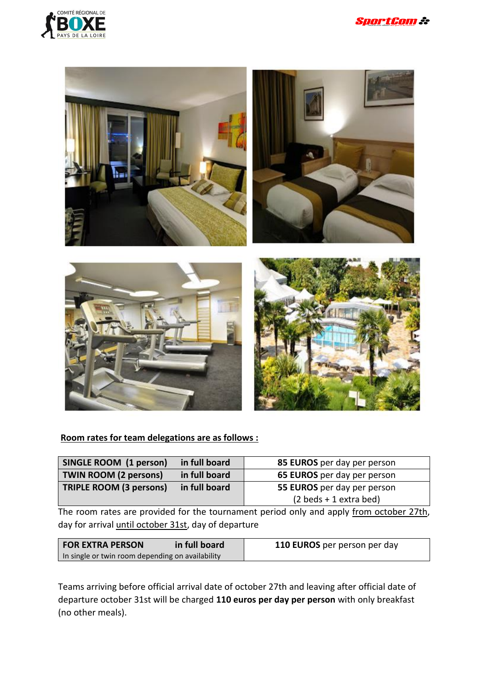



# **Room rates for team delegations are as follows :**

| SINGLE ROOM (1 person)         | in full board | 85 EUROS per day per person              |
|--------------------------------|---------------|------------------------------------------|
| <b>TWIN ROOM (2 persons)</b>   | in full board | 65 EUROS per day per person              |
| <b>TRIPLE ROOM (3 persons)</b> | in full board | 55 EUROS per day per person              |
|                                |               | $(2 \text{ beds} + 1 \text{ extra bed})$ |

The room rates are provided for the tournament period only and apply from october 27th, day for arrival until october 31st, day of departure

| <b>FOR EXTRA PERSON</b>                          | in full board | 110 EUROS per person per day |
|--------------------------------------------------|---------------|------------------------------|
| In single or twin room depending on availability |               |                              |

Teams arriving before official arrival date of october 27th and leaving after official date of departure october 31st will be charged **110 euros per day per person** with only breakfast (no other meals).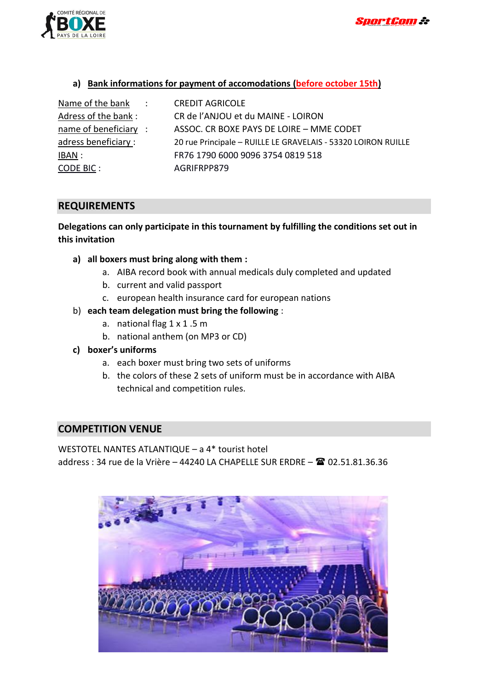



#### **a) Bank informations for payment of accomodations (before october 15th)**

| Name of the bank :    | <b>CREDIT AGRICOLE</b>                                        |
|-----------------------|---------------------------------------------------------------|
| Adress of the bank:   | CR de l'ANJOU et du MAINE - LOIRON                            |
| name of beneficiary : | ASSOC. CR BOXE PAYS DE LOIRE - MME CODET                      |
| adress beneficiary :  | 20 rue Principale - RUILLE LE GRAVELAIS - 53320 LOIRON RUILLE |
| <u>IBAN :</u>         | FR76 1790 6000 9096 3754 0819 518                             |
| <b>CODE BIC:</b>      | AGRIFRPP879                                                   |

#### **REQUIREMENTS**

## **Delegations can only participate in this tournament by fulfilling the conditions set out in this invitation**

- **a) all boxers must bring along with them :**
	- a. AIBA record book with annual medicals duly completed and updated
	- b. current and valid passport
	- c. european health insurance card for european nations
- b) **each team delegation must bring the following** :
	- a. national flag 1 x 1 .5 m
	- b. national anthem (on MP3 or CD)
- **c) boxer's uniforms**
	- a. each boxer must bring two sets of uniforms
	- b. the colors of these 2 sets of uniform must be in accordance with AIBA technical and competition rules.

#### **COMPETITION VENUE**

WESTOTEL NANTES ATLANTIQUE – a 4\* tourist hotel address : 34 rue de la Vrière – 44240 LA CHAPELLE SUR ERDRE –  $\mathbb{R}$  02.51.81.36.36